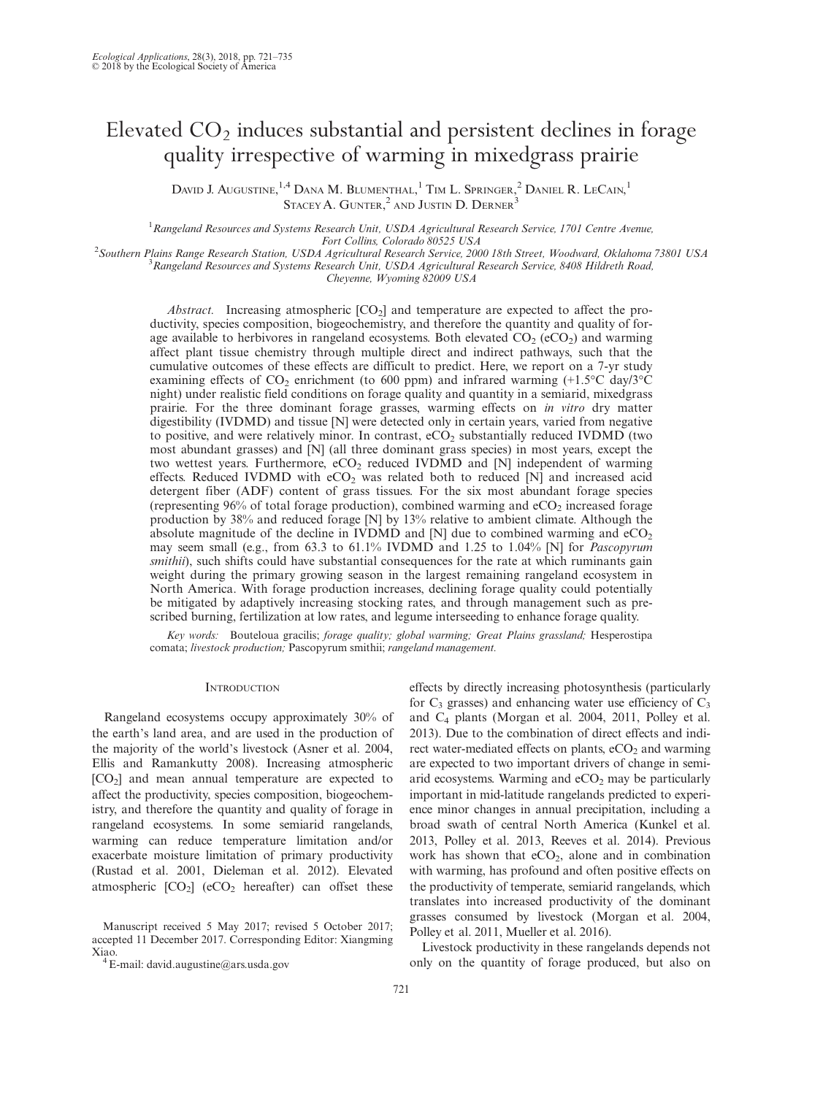# Elevated  $CO<sub>2</sub>$  induces substantial and persistent declines in forage quality irrespective of warming in mixedgrass prairie

DAVID J. AUGUSTINE,<sup>1,4</sup> DANA M. BLUMENTHAL,<sup>1</sup> TIM L. SPRINGER,<sup>2</sup> DANIEL R. LECAIN,<sup>1</sup>  $\mathrm{S \textsc{t} }$ and Justin D. Derner $^3$ 

<sup>1</sup> Rangeland Resources and Systems Research Unit, USDA Agricultural Research Service, 1701 Centre Avenue, Fort Collins, Colorado 80525 USA <sup>2</sup>

Southern Plains Range Research Station, USDA Agricultural Research Service, 2000 18th Street, Woodward, Oklahoma 73801 USA <sup>3</sup>  $R^3$ Rangeland Resources and Systems Research Unit, USDA Agricultural Research Service, 8408 Hildreth Road,

Cheyenne, Wyoming 82009 USA

*Abstract.* Increasing atmospheric  $[CO_2]$  and temperature are expected to affect the productivity, species composition, biogeochemistry, and therefore the quantity and quality of forage available to herbivores in rangeland ecosystems. Both elevated  $CO<sub>2</sub> (eCO<sub>2</sub>)$  and warming affect plant tissue chemistry through multiple direct and indirect pathways, such that the cumulative outcomes of these effects are difficult to predict. Here, we report on a 7-yr study examining effects of  $CO_2$  enrichment (to 600 ppm) and infrared warming (+1.5 $\degree$ C day/3 $\degree$ C night) under realistic field conditions on forage quality and quantity in a semiarid, mixedgrass prairie. For the three dominant forage grasses, warming effects on in vitro dry matter digestibility (IVDMD) and tissue [N] were detected only in certain years, varied from negative to positive, and were relatively minor. In contrast,  $eCO<sub>2</sub>$  substantially reduced IVDMD (two most abundant grasses) and [N] (all three dominant grass species) in most years, except the two wettest years. Furthermore,  $eCO<sub>2</sub>$  reduced IVDMD and [N] independent of warming effects. Reduced IVDMD with  $eCO<sub>2</sub>$  was related both to reduced [N] and increased acid detergent fiber (ADF) content of grass tissues. For the six most abundant forage species (representing  $96\%$  of total forage production), combined warming and  $eCO<sub>2</sub>$  increased forage production by 38% and reduced forage [N] by 13% relative to ambient climate. Although the absolute magnitude of the decline in IVDMD and  $[N]$  due to combined warming and  $eCO<sub>2</sub>$ may seem small (e.g., from 63.3 to 61.1% IVDMD and 1.25 to 1.04% [N] for Pascopyrum smithii), such shifts could have substantial consequences for the rate at which ruminants gain weight during the primary growing season in the largest remaining rangeland ecosystem in North America. With forage production increases, declining forage quality could potentially be mitigated by adaptively increasing stocking rates, and through management such as prescribed burning, fertilization at low rates, and legume interseeding to enhance forage quality.

Key words: Bouteloua gracilis; forage quality; global warming; Great Plains grassland; Hesperostipa comata; livestock production; Pascopyrum smithii; rangeland management.

## **INTRODUCTION**

Rangeland ecosystems occupy approximately 30% of the earth's land area, and are used in the production of the majority of the world's livestock (Asner et al. 2004, Ellis and Ramankutty 2008). Increasing atmospheric [CO2] and mean annual temperature are expected to affect the productivity, species composition, biogeochemistry, and therefore the quantity and quality of forage in rangeland ecosystems. In some semiarid rangelands, warming can reduce temperature limitation and/or exacerbate moisture limitation of primary productivity (Rustad et al. 2001, Dieleman et al. 2012). Elevated atmospheric  $[CO_2]$  (eCO<sub>2</sub> hereafter) can offset these

Manuscript received 5 May 2017; revised 5 October 2017; accepted 11 December 2017. Corresponding Editor: Xiangming Xiao.<br><sup>4</sup> E-mail: david.augustine@ars.usda.gov

effects by directly increasing photosynthesis (particularly for  $C_3$  grasses) and enhancing water use efficiency of  $C_3$ and C4 plants (Morgan et al. 2004, 2011, Polley et al. 2013). Due to the combination of direct effects and indirect water-mediated effects on plants,  $eCO<sub>2</sub>$  and warming are expected to two important drivers of change in semiarid ecosystems. Warming and  $eCO<sub>2</sub>$  may be particularly important in mid-latitude rangelands predicted to experience minor changes in annual precipitation, including a broad swath of central North America (Kunkel et al. 2013, Polley et al. 2013, Reeves et al. 2014). Previous work has shown that  $eCO<sub>2</sub>$ , alone and in combination with warming, has profound and often positive effects on the productivity of temperate, semiarid rangelands, which translates into increased productivity of the dominant grasses consumed by livestock (Morgan et al. 2004, Polley et al. 2011, Mueller et al. 2016).

Livestock productivity in these rangelands depends not only on the quantity of forage produced, but also on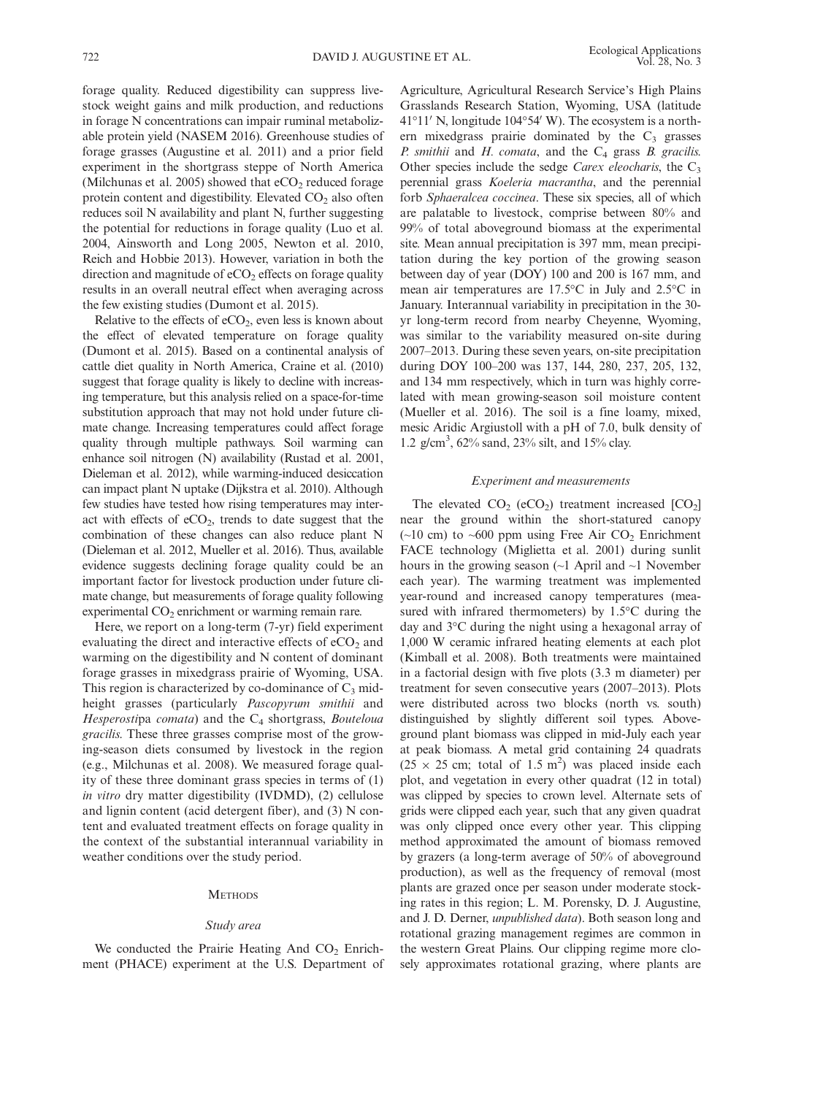forage quality. Reduced digestibility can suppress livestock weight gains and milk production, and reductions in forage N concentrations can impair ruminal metabolizable protein yield (NASEM 2016). Greenhouse studies of forage grasses (Augustine et al. 2011) and a prior field experiment in the shortgrass steppe of North America (Milchunas et al. 2005) showed that  $eCO<sub>2</sub>$  reduced forage protein content and digestibility. Elevated  $CO<sub>2</sub>$  also often reduces soil N availability and plant N, further suggesting the potential for reductions in forage quality (Luo et al. 2004, Ainsworth and Long 2005, Newton et al. 2010, Reich and Hobbie 2013). However, variation in both the direction and magnitude of  $eCO<sub>2</sub>$  effects on forage quality results in an overall neutral effect when averaging across the few existing studies (Dumont et al. 2015).

Relative to the effects of  $eCO<sub>2</sub>$ , even less is known about the effect of elevated temperature on forage quality (Dumont et al. 2015). Based on a continental analysis of cattle diet quality in North America, Craine et al. (2010) suggest that forage quality is likely to decline with increasing temperature, but this analysis relied on a space-for-time substitution approach that may not hold under future climate change. Increasing temperatures could affect forage quality through multiple pathways. Soil warming can enhance soil nitrogen (N) availability (Rustad et al. 2001, Dieleman et al. 2012), while warming-induced desiccation can impact plant N uptake (Dijkstra et al. 2010). Although few studies have tested how rising temperatures may interact with effects of  $eCO<sub>2</sub>$ , trends to date suggest that the combination of these changes can also reduce plant N (Dieleman et al. 2012, Mueller et al. 2016). Thus, available evidence suggests declining forage quality could be an important factor for livestock production under future climate change, but measurements of forage quality following experimental  $CO<sub>2</sub>$  enrichment or warming remain rare.

Here, we report on a long-term (7-yr) field experiment evaluating the direct and interactive effects of  $eCO<sub>2</sub>$  and warming on the digestibility and N content of dominant forage grasses in mixedgrass prairie of Wyoming, USA. This region is characterized by co-dominance of  $C_3$  midheight grasses (particularly Pascopyrum smithii and Hesperostipa comata) and the  $C_4$  shortgrass, Bouteloua gracilis. These three grasses comprise most of the growing-season diets consumed by livestock in the region (e.g., Milchunas et al. 2008). We measured forage quality of these three dominant grass species in terms of (1) in vitro dry matter digestibility (IVDMD), (2) cellulose and lignin content (acid detergent fiber), and (3) N content and evaluated treatment effects on forage quality in the context of the substantial interannual variability in weather conditions over the study period.

#### **METHODS**

## Study area

We conducted the Prairie Heating And  $CO<sub>2</sub>$  Enrichment (PHACE) experiment at the U.S. Department of Agriculture, Agricultural Research Service's High Plains Grasslands Research Station, Wyoming, USA (latitude  $41°11'$  N, longitude  $104°54'$  W). The ecosystem is a northern mixedgrass prairie dominated by the  $C_3$  grasses P. smithii and  $H$ . comata, and the  $C_4$  grass  $B$ . gracilis. Other species include the sedge Carex eleocharis, the  $C_3$ perennial grass Koeleria macrantha, and the perennial forb Sphaeralcea coccinea. These six species, all of which are palatable to livestock, comprise between 80% and 99% of total aboveground biomass at the experimental site. Mean annual precipitation is 397 mm, mean precipitation during the key portion of the growing season between day of year (DOY) 100 and 200 is 167 mm, and mean air temperatures are 17.5°C in July and 2.5°C in January. Interannual variability in precipitation in the 30 yr long-term record from nearby Cheyenne, Wyoming, was similar to the variability measured on-site during 2007–2013. During these seven years, on-site precipitation during DOY 100–200 was 137, 144, 280, 237, 205, 132, and 134 mm respectively, which in turn was highly correlated with mean growing-season soil moisture content (Mueller et al. 2016). The soil is a fine loamy, mixed, mesic Aridic Argiustoll with a pH of 7.0, bulk density of 1.2 g/cm3 , 62% sand, 23% silt, and 15% clay.

## Experiment and measurements

The elevated  $CO_2$  (eCO<sub>2</sub>) treatment increased  $[CO_2]$ near the ground within the short-statured canopy  $(\sim 10 \text{ cm})$  to  $\sim 600 \text{ ppm}$  using Free Air CO<sub>2</sub> Enrichment FACE technology (Miglietta et al. 2001) during sunlit hours in the growing season  $(\sim]$  April and  $\sim]$  November each year). The warming treatment was implemented year-round and increased canopy temperatures (measured with infrared thermometers) by 1.5°C during the day and 3°C during the night using a hexagonal array of 1,000 W ceramic infrared heating elements at each plot (Kimball et al. 2008). Both treatments were maintained in a factorial design with five plots (3.3 m diameter) per treatment for seven consecutive years (2007–2013). Plots were distributed across two blocks (north vs. south) distinguished by slightly different soil types. Aboveground plant biomass was clipped in mid-July each year at peak biomass. A metal grid containing 24 quadrats  $(25 \times 25$  cm; total of 1.5 m<sup>2</sup>) was placed inside each plot, and vegetation in every other quadrat (12 in total) was clipped by species to crown level. Alternate sets of grids were clipped each year, such that any given quadrat was only clipped once every other year. This clipping method approximated the amount of biomass removed by grazers (a long-term average of 50% of aboveground production), as well as the frequency of removal (most plants are grazed once per season under moderate stocking rates in this region; L. M. Porensky, D. J. Augustine, and J. D. Derner, unpublished data). Both season long and rotational grazing management regimes are common in the western Great Plains. Our clipping regime more closely approximates rotational grazing, where plants are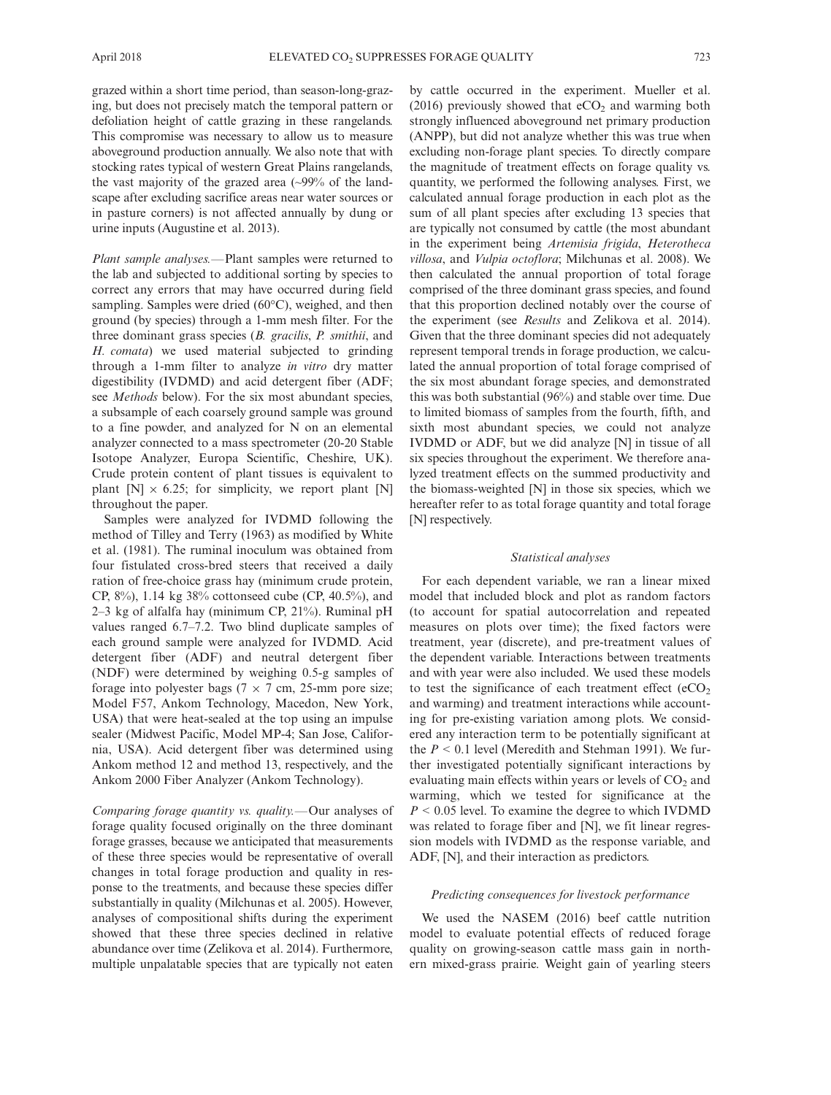grazed within a short time period, than season-long-grazing, but does not precisely match the temporal pattern or defoliation height of cattle grazing in these rangelands. This compromise was necessary to allow us to measure aboveground production annually. We also note that with stocking rates typical of western Great Plains rangelands, the vast majority of the grazed area (~99% of the landscape after excluding sacrifice areas near water sources or in pasture corners) is not affected annually by dung or urine inputs (Augustine et al. 2013).

Plant sample analyses.—Plant samples were returned to the lab and subjected to additional sorting by species to correct any errors that may have occurred during field sampling. Samples were dried (60°C), weighed, and then ground (by species) through a 1-mm mesh filter. For the three dominant grass species (B. gracilis, P. smithii, and H. comata) we used material subjected to grinding through a 1-mm filter to analyze in vitro dry matter digestibility (IVDMD) and acid detergent fiber (ADF; see Methods below). For the six most abundant species, a subsample of each coarsely ground sample was ground to a fine powder, and analyzed for N on an elemental analyzer connected to a mass spectrometer (20-20 Stable Isotope Analyzer, Europa Scientific, Cheshire, UK). Crude protein content of plant tissues is equivalent to plant  $[N] \times 6.25$ ; for simplicity, we report plant  $[N]$ throughout the paper.

Samples were analyzed for IVDMD following the method of Tilley and Terry (1963) as modified by White et al. (1981). The ruminal inoculum was obtained from four fistulated cross-bred steers that received a daily ration of free-choice grass hay (minimum crude protein, CP, 8%), 1.14 kg 38% cottonseed cube (CP, 40.5%), and 2–3 kg of alfalfa hay (minimum CP, 21%). Ruminal pH values ranged 6.7–7.2. Two blind duplicate samples of each ground sample were analyzed for IVDMD. Acid detergent fiber (ADF) and neutral detergent fiber (NDF) were determined by weighing 0.5-g samples of forage into polyester bags ( $7 \times 7$  cm, 25-mm pore size; Model F57, Ankom Technology, Macedon, New York, USA) that were heat-sealed at the top using an impulse sealer (Midwest Pacific, Model MP-4; San Jose, California, USA). Acid detergent fiber was determined using Ankom method 12 and method 13, respectively, and the Ankom 2000 Fiber Analyzer (Ankom Technology).

Comparing forage quantity vs. quality.—Our analyses of forage quality focused originally on the three dominant forage grasses, because we anticipated that measurements of these three species would be representative of overall changes in total forage production and quality in response to the treatments, and because these species differ substantially in quality (Milchunas et al. 2005). However, analyses of compositional shifts during the experiment showed that these three species declined in relative abundance over time (Zelikova et al. 2014). Furthermore, multiple unpalatable species that are typically not eaten

by cattle occurred in the experiment. Mueller et al.  $(2016)$  previously showed that eCO<sub>2</sub> and warming both strongly influenced aboveground net primary production (ANPP), but did not analyze whether this was true when excluding non-forage plant species. To directly compare the magnitude of treatment effects on forage quality vs. quantity, we performed the following analyses. First, we calculated annual forage production in each plot as the sum of all plant species after excluding 13 species that are typically not consumed by cattle (the most abundant in the experiment being Artemisia frigida, Heterotheca villosa, and Vulpia octoflora; Milchunas et al. 2008). We then calculated the annual proportion of total forage comprised of the three dominant grass species, and found that this proportion declined notably over the course of the experiment (see *Results* and Zelikova et al. 2014). Given that the three dominant species did not adequately represent temporal trends in forage production, we calculated the annual proportion of total forage comprised of the six most abundant forage species, and demonstrated this was both substantial (96%) and stable over time. Due to limited biomass of samples from the fourth, fifth, and sixth most abundant species, we could not analyze IVDMD or ADF, but we did analyze [N] in tissue of all six species throughout the experiment. We therefore analyzed treatment effects on the summed productivity and the biomass-weighted [N] in those six species, which we hereafter refer to as total forage quantity and total forage [N] respectively.

## Statistical analyses

For each dependent variable, we ran a linear mixed model that included block and plot as random factors (to account for spatial autocorrelation and repeated measures on plots over time); the fixed factors were treatment, year (discrete), and pre-treatment values of the dependent variable. Interactions between treatments and with year were also included. We used these models to test the significance of each treatment effect  $(eCO<sub>2</sub>)$ and warming) and treatment interactions while accounting for pre-existing variation among plots. We considered any interaction term to be potentially significant at the  $P < 0.1$  level (Meredith and Stehman 1991). We further investigated potentially significant interactions by evaluating main effects within years or levels of  $CO<sub>2</sub>$  and warming, which we tested for significance at the  $P < 0.05$  level. To examine the degree to which IVDMD was related to forage fiber and [N], we fit linear regression models with IVDMD as the response variable, and ADF, [N], and their interaction as predictors.

# Predicting consequences for livestock performance

We used the NASEM (2016) beef cattle nutrition model to evaluate potential effects of reduced forage quality on growing-season cattle mass gain in northern mixed-grass prairie. Weight gain of yearling steers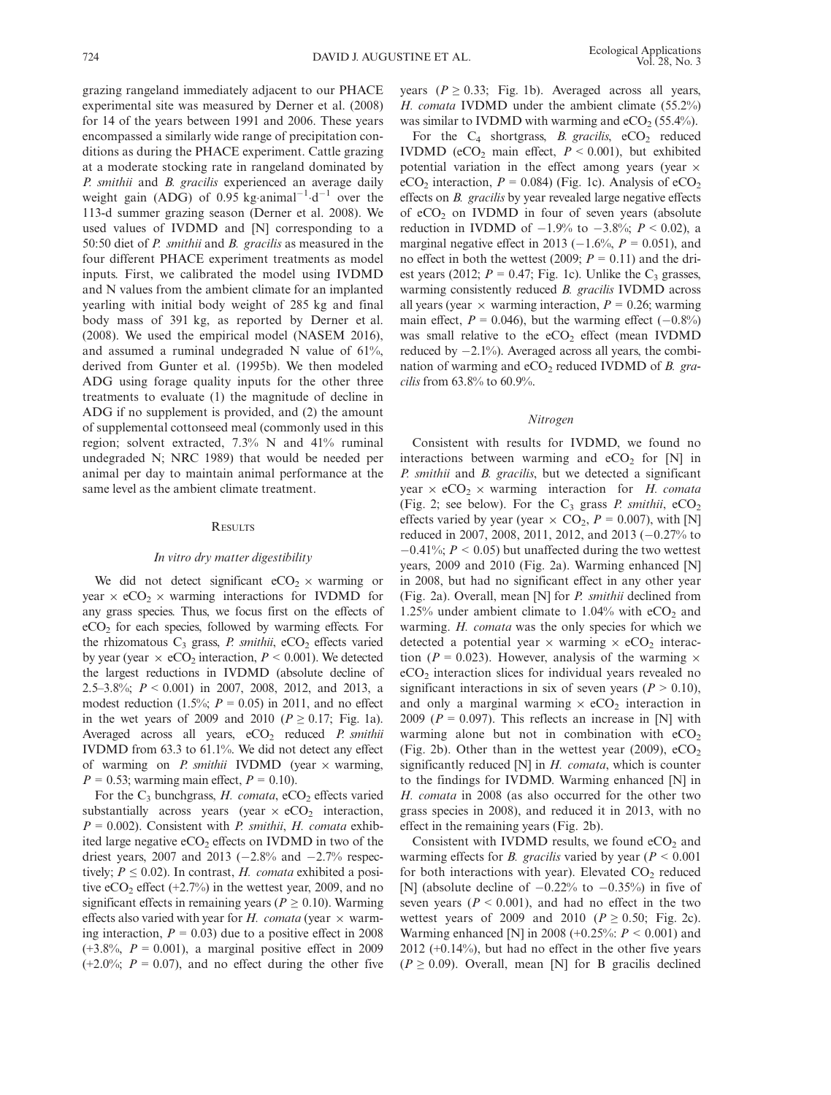grazing rangeland immediately adjacent to our PHACE experimental site was measured by Derner et al. (2008) for 14 of the years between 1991 and 2006. These years encompassed a similarly wide range of precipitation conditions as during the PHACE experiment. Cattle grazing at a moderate stocking rate in rangeland dominated by P. smithii and B. gracilis experienced an average daily weight gain (ADG) of 0.95 kg animal<sup>-1</sup>  $d^{-1}$  over the 113-d summer grazing season (Derner et al. 2008). We used values of IVDMD and [N] corresponding to a 50:50 diet of *P. smithii* and *B. gracilis* as measured in the four different PHACE experiment treatments as model inputs. First, we calibrated the model using IVDMD and N values from the ambient climate for an implanted yearling with initial body weight of 285 kg and final body mass of 391 kg, as reported by Derner et al. (2008). We used the empirical model (NASEM 2016), and assumed a ruminal undegraded N value of 61%, derived from Gunter et al. (1995b). We then modeled ADG using forage quality inputs for the other three treatments to evaluate (1) the magnitude of decline in ADG if no supplement is provided, and (2) the amount of supplemental cottonseed meal (commonly used in this region; solvent extracted, 7.3% N and 41% ruminal undegraded N; NRC 1989) that would be needed per animal per day to maintain animal performance at the same level as the ambient climate treatment.

#### **RESULTS**

## In vitro dry matter digestibility

We did not detect significant  $eCO_2 \times$  warming or year  $\times$  eCO<sub>2</sub>  $\times$  warming interactions for IVDMD for any grass species. Thus, we focus first on the effects of  $eCO<sub>2</sub>$  for each species, followed by warming effects. For the rhizomatous  $C_3$  grass, P. smithii, eCO<sub>2</sub> effects varied by year (year  $\times$  eCO<sub>2</sub> interaction,  $P \le 0.001$ ). We detected the largest reductions in IVDMD (absolute decline of 2.5–3.8%; P < 0.001) in 2007, 2008, 2012, and 2013, a modest reduction (1.5%;  $P = 0.05$ ) in 2011, and no effect in the wet years of 2009 and 2010 ( $P \ge 0.17$ ; Fig. 1a). Averaged across all years,  $eCO<sub>2</sub>$  reduced P. smithii IVDMD from 63.3 to 61.1%. We did not detect any effect of warming on *P. smithii* IVDMD (year  $\times$  warming,  $P = 0.53$ ; warming main effect,  $P = 0.10$ ).

For the  $C_3$  bunchgrass, H. comata, eCO<sub>2</sub> effects varied substantially across years (year  $\times$  eCO<sub>2</sub> interaction,  $P = 0.002$ ). Consistent with *P. smithii*, *H. comata* exhibited large negative  $eCO<sub>2</sub>$  effects on IVDMD in two of the driest years, 2007 and 2013 ( $-2.8\%$  and  $-2.7\%$  respectively;  $P \leq 0.02$ ). In contrast, H. comata exhibited a positive eCO<sub>2</sub> effect  $(+2.7\%)$  in the wettest year, 2009, and no significant effects in remaining years ( $P \ge 0.10$ ). Warming effects also varied with year for H. comata (year  $\times$  warming interaction,  $P = 0.03$ ) due to a positive effect in 2008  $(+3.8\%, P = 0.001)$ , a marginal positive effect in 2009  $(+2.0\%; P = 0.07)$ , and no effect during the other five

years ( $P \ge 0.33$ ; Fig. 1b). Averaged across all years, H. comata IVDMD under the ambient climate  $(55.2\%)$ was similar to IVDMD with warming and  $eCO<sub>2</sub>$  (55.4%).

For the  $C_4$  shortgrass, *B. gracilis*,  $eCO_2$  reduced IVDMD (eCO<sub>2</sub> main effect,  $P < 0.001$ ), but exhibited potential variation in the effect among years (year  $\times$ eCO<sub>2</sub> interaction,  $P = 0.084$ ) (Fig. 1c). Analysis of eCO<sub>2</sub> effects on B. gracilis by year revealed large negative effects of  $eCO<sub>2</sub>$  on IVDMD in four of seven years (absolute reduction in IVDMD of  $-1.9%$  to  $-3.8%$ ;  $P < 0.02$ ), a marginal negative effect in 2013 ( $-1.6\%$ ,  $P = 0.051$ ), and no effect in both the wettest (2009;  $P = 0.11$ ) and the driest years (2012;  $P = 0.47$ ; Fig. 1c). Unlike the C<sub>3</sub> grasses, warming consistently reduced *B. gracilis* IVDMD across all years (year  $\times$  warming interaction,  $P = 0.26$ ; warming main effect,  $P = 0.046$ , but the warming effect  $(-0.8\%)$ was small relative to the  $eCO<sub>2</sub>$  effect (mean IVDMD reduced by  $-2.1\%$ ). Averaged across all years, the combination of warming and  $eCO<sub>2</sub>$  reduced IVDMD of B. gracilis from 63.8% to 60.9%.

#### Nitrogen

Consistent with results for IVDMD, we found no interactions between warming and  $eCO<sub>2</sub>$  for [N] in P. smithii and B. gracilis, but we detected a significant year  $\times$  eCO<sub>2</sub>  $\times$  warming interaction for *H. comata* (Fig. 2; see below). For the  $C_3$  grass P. smithii, eCO<sub>2</sub> effects varied by year (year  $\times$  CO<sub>2</sub>, P = 0.007), with [N] reduced in 2007, 2008, 2011, 2012, and 2013  $(-0.27%$  to  $-0.41\%$ ;  $P < 0.05$ ) but unaffected during the two wettest years, 2009 and 2010 (Fig. 2a). Warming enhanced [N] in 2008, but had no significant effect in any other year (Fig. 2a). Overall, mean [N] for P. smithii declined from 1.25% under ambient climate to  $1.04\%$  with eCO<sub>2</sub> and warming. H. comata was the only species for which we detected a potential year  $\times$  warming  $\times$  eCO<sub>2</sub> interaction ( $P = 0.023$ ). However, analysis of the warming  $\times$ eCO2 interaction slices for individual years revealed no significant interactions in six of seven years ( $P > 0.10$ ), and only a marginal warming  $\times$  eCO<sub>2</sub> interaction in 2009 ( $P = 0.097$ ). This reflects an increase in [N] with warming alone but not in combination with  $eCO<sub>2</sub>$ (Fig. 2b). Other than in the wettest year (2009),  $eCO<sub>2</sub>$ significantly reduced  $[N]$  in  $H$ . comata, which is counter to the findings for IVDMD. Warming enhanced [N] in H. comata in 2008 (as also occurred for the other two grass species in 2008), and reduced it in 2013, with no effect in the remaining years (Fig. 2b).

Consistent with IVDMD results, we found  $eCO<sub>2</sub>$  and warming effects for *B*. gracilis varied by year ( $P < 0.001$ ) for both interactions with year). Elevated  $CO<sub>2</sub>$  reduced [N] (absolute decline of  $-0.22\%$  to  $-0.35\%$ ) in five of seven years ( $P < 0.001$ ), and had no effect in the two wettest years of 2009 and 2010 ( $P \ge 0.50$ ; Fig. 2c). Warming enhanced [N] in 2008 (+0.25%:  $P < 0.001$ ) and  $2012$  (+0.14%), but had no effect in the other five years  $(P \ge 0.09)$ . Overall, mean [N] for B gracilis declined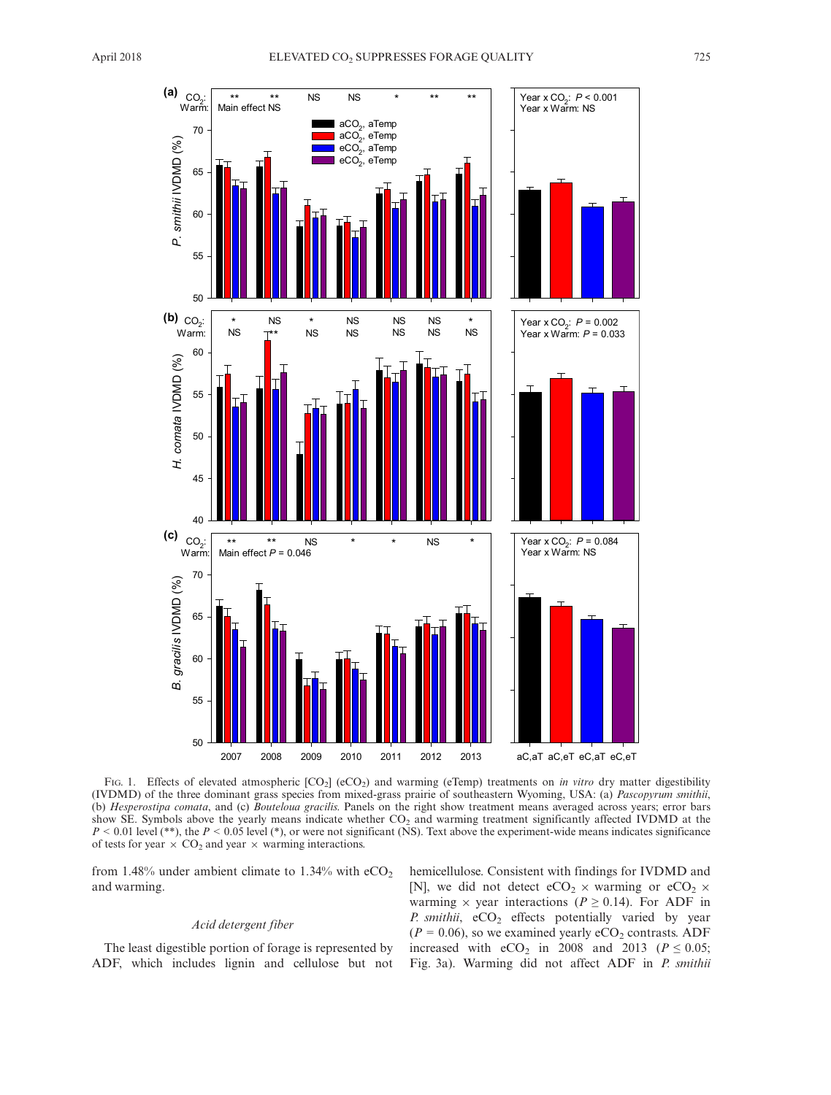

FIG. 1. Effects of elevated atmospheric [CO<sub>2</sub>] (eCO<sub>2</sub>) and warming (eTemp) treatments on *in vitro* dry matter digestibility (IVDMD) of the three dominant grass species from mixed-grass prairie of southeastern Wyoming, USA: (a) Pascopyrum smithii, (b) Hesperostipa comata, and (c) Bouteloua gracilis. Panels on the right show treatment means averaged across years; error bars show SE. Symbols above the yearly means indicate whether CO<sub>2</sub> and warming treatment significantly affected IVDMD at the  $P < 0.01$  level (\*\*), the  $P < 0.05$  level (\*), or were not significant (NS). Text above the experiment-wide means indicates significance of tests for year  $\times$  CO<sub>2</sub> and year  $\times$  warming interactions.

from 1.48% under ambient climate to 1.34% with  $eCO<sub>2</sub>$ and warming.

## Acid detergent fiber

The least digestible portion of forage is represented by ADF, which includes lignin and cellulose but not hemicellulose. Consistent with findings for IVDMD and [N], we did not detect eCO<sub>2</sub>  $\times$  warming or eCO<sub>2</sub>  $\times$ warming  $\times$  year interactions ( $P \ge 0.14$ ). For ADF in P. smithii,  $eCO<sub>2</sub>$  effects potentially varied by year  $(P = 0.06)$ , so we examined yearly eCO<sub>2</sub> contrasts. ADF increased with  $eCO<sub>2</sub>$  in 2008 and 2013 ( $P \le 0.05$ ; Fig. 3a). Warming did not affect ADF in P. smithii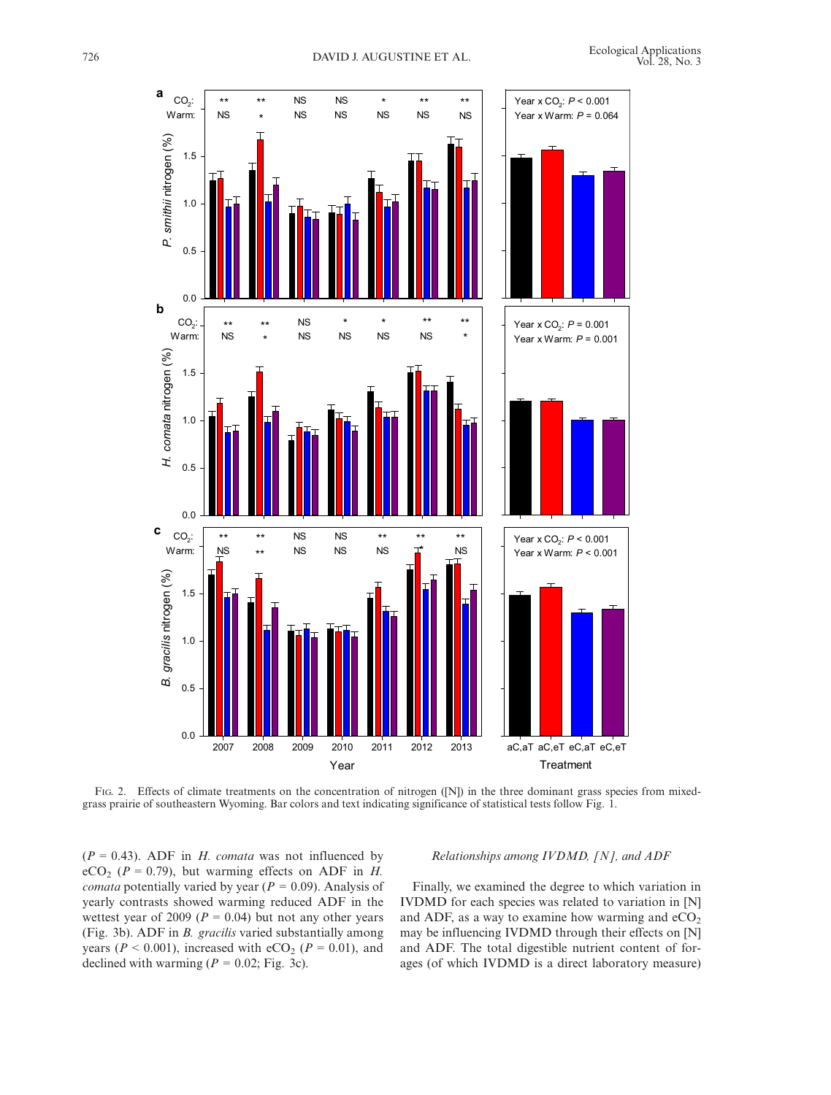

FIG. 2. Effects of climate treatments on the concentration of nitrogen ([N]) in the three dominant grass species from mixedgrass prairie of southeastern Wyoming. Bar colors and text indicating significance of statistical tests follow Fig. 1.

 $(P = 0.43)$ . ADF in *H. comata* was not influenced by eCO<sub>2</sub> ( $P = 0.79$ ), but warming effects on ADF in H. *comata* potentially varied by year ( $P = 0.09$ ). Analysis of yearly contrasts showed warming reduced ADF in the wettest year of 2009 ( $P = 0.04$ ) but not any other years (Fig. 3b). ADF in B. gracilis varied substantially among years ( $P < 0.001$ ), increased with eCO<sub>2</sub> ( $P = 0.01$ ), and declined with warming ( $P = 0.02$ ; Fig. 3c).

# Relationships among IVDMD, [N], and ADF

Finally, we examined the degree to which variation in IVDMD for each species was related to variation in [N] and ADF, as a way to examine how warming and  $eCO<sub>2</sub>$ may be influencing IVDMD through their effects on [N] and ADF. The total digestible nutrient content of forages (of which IVDMD is a direct laboratory measure)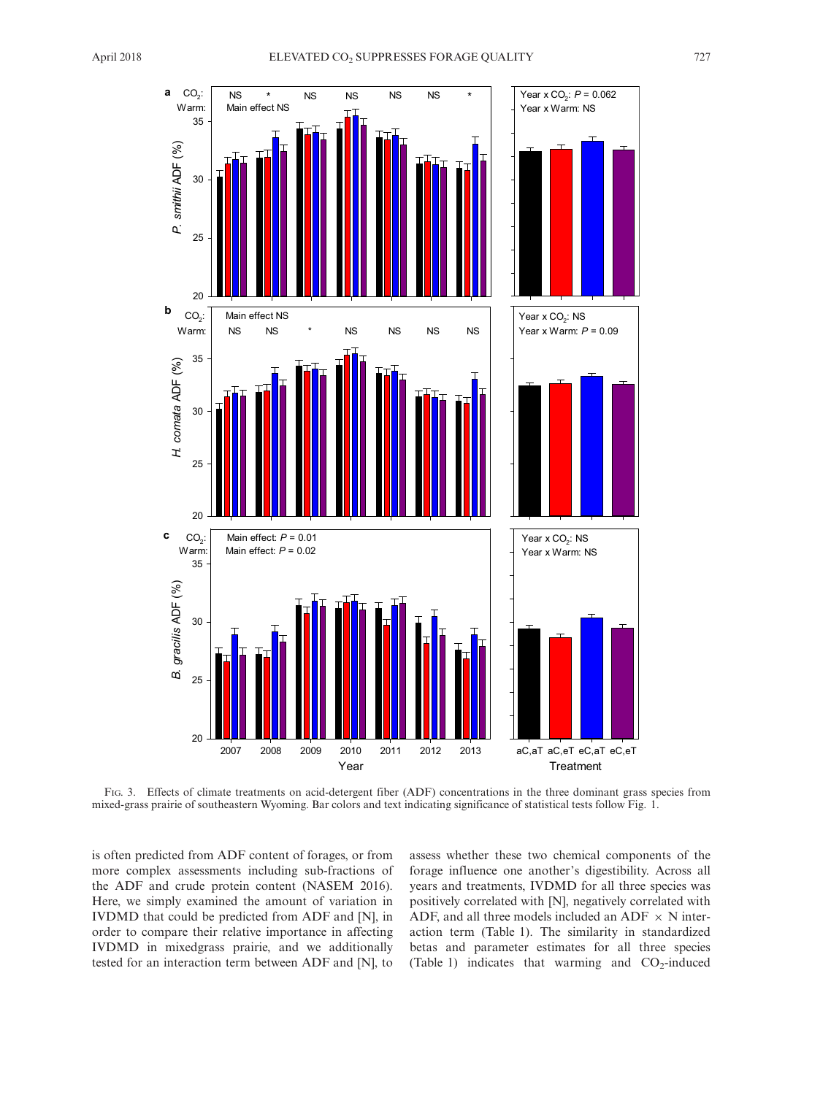

FIG. 3. Effects of climate treatments on acid-detergent fiber (ADF) concentrations in the three dominant grass species from mixed-grass prairie of southeastern Wyoming. Bar colors and text indicating significance of statistical tests follow Fig. 1.

is often predicted from ADF content of forages, or from more complex assessments including sub-fractions of the ADF and crude protein content (NASEM 2016). Here, we simply examined the amount of variation in IVDMD that could be predicted from ADF and [N], in order to compare their relative importance in affecting IVDMD in mixedgrass prairie, and we additionally tested for an interaction term between ADF and [N], to

assess whether these two chemical components of the forage influence one another's digestibility. Across all years and treatments, IVDMD for all three species was positively correlated with [N], negatively correlated with ADF, and all three models included an ADF  $\times$  N interaction term (Table 1). The similarity in standardized betas and parameter estimates for all three species (Table 1) indicates that warming and  $CO<sub>2</sub>$ -induced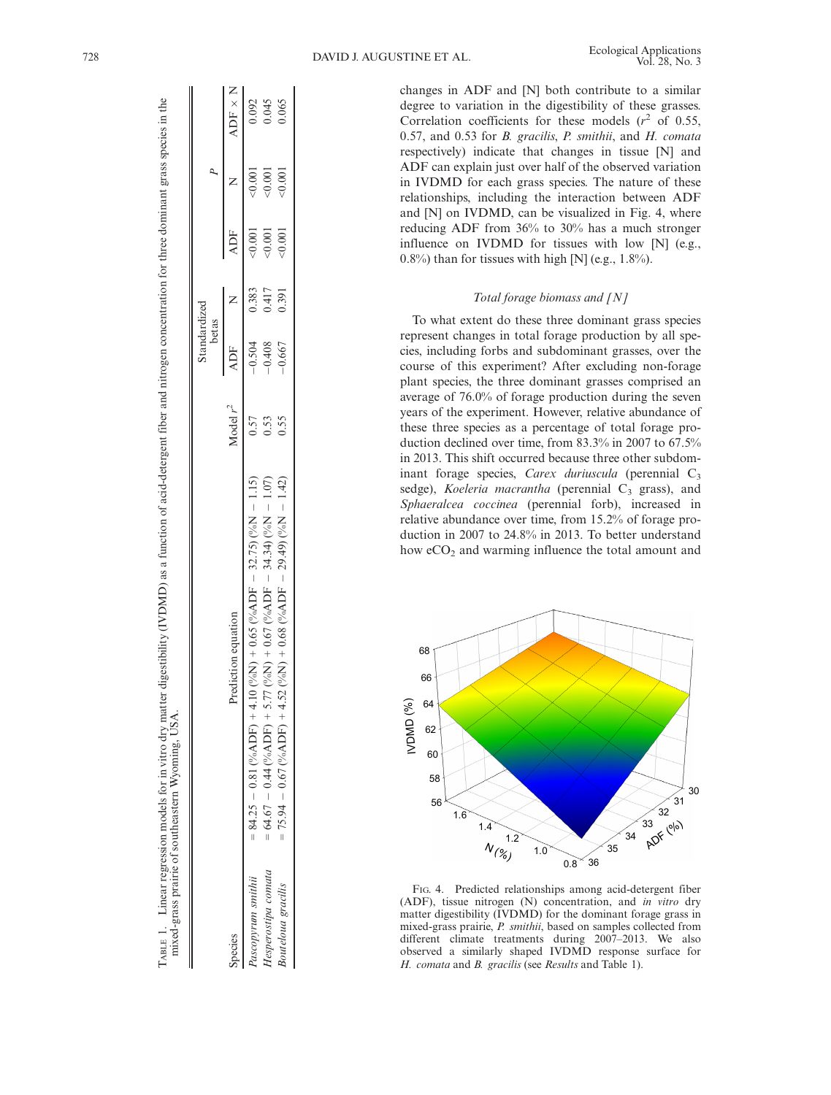changes in ADF and [N] both contribute to a similar degree to variation in the digestibility of these grasses. Correlation coefficients for these models  $(r^2 \text{ of } 0.55,$ 0.57, and 0.53 for B. gracilis, P. smithii, and H. comata respectively) indicate that changes in tissue [N] and ADF can explain just over half of the observed variation in IVDMD for each grass species. The nature of these relationships, including the interaction between ADF and [N] on IVDMD, can be visualized in Fig. 4, where reducing ADF from 36% to 30% has a much stronger influence on IVDMD for tissues with low [N] (e.g.,  $0.8\%$ ) than for tissues with high [N] (e.g., 1.8%).

# Total forage biomass and [N]

To what extent do these three dominant grass species represent changes in total forage production by all species, including forbs and subdominant grasses, over the course of this experiment? After excluding non-forage plant species, the three dominant grasses comprised an average of 76.0% of forage production during the seven years of the experiment. However, relative abundance of these three species as a percentage of total forage production declined over time, from 83.3% in 2007 to 67.5% in 2013. This shift occurred because three other subdominant forage species, Carex duriuscula (perennial  $C_3$ sedge), Koeleria macrantha (perennial  $C_3$  grass), and Sphaeralcea coccinea (perennial forb), increased in relative abundance over time, from 15.2% of forage production in 2007 to 24.8% in 2013. To better understand how  $eCO<sub>2</sub>$  and warming influence the total amount and



FIG. 4. Predicted relationships among acid-detergent fiber (ADF), tissue nitrogen (N) concentration, and in vitro dry matter digestibility (IVDMD) for the dominant forage grass in mixed-grass prairie, P. smithii, based on samples collected from different climate treatments during 2007–2013. We also observed a similarly shaped IVDMD response surface for H. comata and B. gracilis (see Results and Table 1).

| ;<br>$\ddot{\phantom{a}}$<br>ł<br>١<br>ׇ֠<br>ż<br>į<br>į<br>j<br>ì                                                               |                                                                                                                                                                                         |
|----------------------------------------------------------------------------------------------------------------------------------|-----------------------------------------------------------------------------------------------------------------------------------------------------------------------------------------|
| ļ<br>֚֬֕<br>l<br>֚<br>ć<br>í<br>j<br>j<br>ł<br>. A thrucker is<br>l<br>j<br>į<br>ׇׇ֚֚֡<br>l<br>í<br>$\frac{1}{2}$<br>į<br>ì<br>١ | t<br>i<br>)<br>I<br>j<br>j<br>Ş<br>į<br>j<br>-<br>-<br>-<br>-<br>-<br>-<br>-<br><br>-<br><br><br><br><br><br><br><br>Ī<br>Ì<br>i<br>Contractor Case Case<br>i<br>ł<br>contract contract |

Species Prediction equation equation equation

Prediction equation

 $-0.81$  (%ADF) + 4.10 (%N) + 0.65 (%ADF

 $-0.44$  (%ADF) + 5.77 (%N) + 0.67 (%ADF  $-$  0.44 (%ADF) + 5.77 (%N) + 0.67 (%ADF  $-0.67$  (%ADF) + 4.52 (%N) + 0.68 (%ADF  $-0.67$  (%ADF) + 4.52 (%N) + 0.68 (%ADF

 $-32.75)$  (%N

 $-34.34)$  (%N  $-34.34$ ) ( $\%$ )  $N$   $-29.49$ ) (%N  $-29.49$ ) (%N

 $-1.42$ 

 $-1.42$ )  $0.55$ 

 $-1.07$ 

 $-1.07$ )  $-0.53$ 

 $-0.408$  $-0.504$ 

 $-0.667$ 

 $-1.15$ 

 $-1.15$ ) 0.57

 $0.57$  $\frac{0.53}{0.55}$ 

 $Paseopyrum smithii = 84.25$ 

Species

 $Hesperostipa comata = 64.67$ 

Hesperostipa comata Pascopyrum smithii

 $64.67$ 75.94  $\parallel$  $\parallel$ 

 $Bouteloua\ gradis = 75.94$ 

**Bouteloua** gracilis

 $\mathbb{I}$ 

ų.

**ADF** 

Standardized betas

Standardized

 $\overline{a}$ 

ω

ADF N ADF N ADF N

 $\mathsf{ADF}$  $0.001$  $0.001$  $50.001$ 

Z

Z

ADF  $\times$ 0.092

0.504 0.383 0.383 0.383 0.383 0.384 0.001 0.001 0.001 0.001 0.001 0.001 0.001 0.001 0.001 0.001 0.00

0.383 0.417 0.391

0.4000 0.0000 0.0000 0.0000 0.0000 0.0000 0.0000 0.0000 0.0000 0.0000 0.0000 0.0000 0.0000 0.0000 0.0000 0.000

 $0.001$  $0.001$ 

0.045

0.065

 $-0.667$  0.391 <0.001 <0.001 0.065

 $0.001$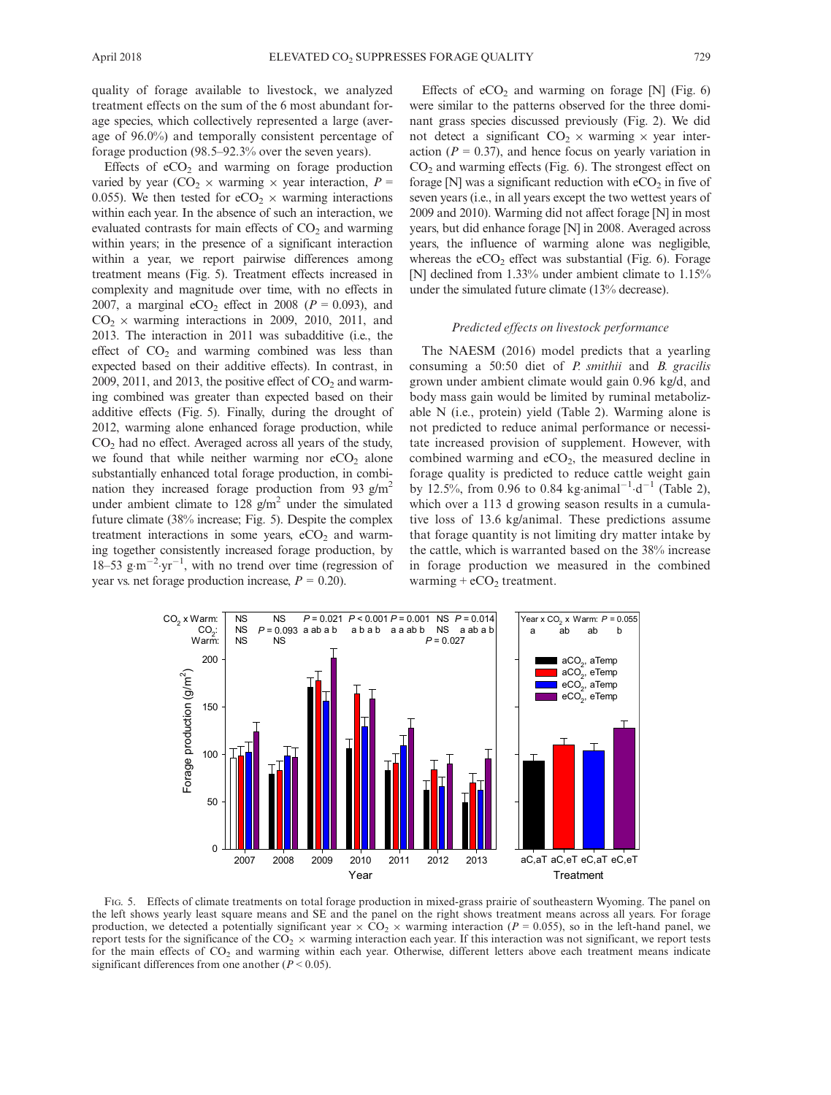quality of forage available to livestock, we analyzed treatment effects on the sum of the 6 most abundant forage species, which collectively represented a large (average of 96.0%) and temporally consistent percentage of forage production (98.5–92.3% over the seven years).

Effects of  $eCO<sub>2</sub>$  and warming on forage production varied by year (CO<sub>2</sub>  $\times$  warming  $\times$  year interaction, P = 0.055). We then tested for  $eCO<sub>2</sub> \times$  warming interactions within each year. In the absence of such an interaction, we evaluated contrasts for main effects of  $CO<sub>2</sub>$  and warming within years; in the presence of a significant interaction within a year, we report pairwise differences among treatment means (Fig. 5). Treatment effects increased in complexity and magnitude over time, with no effects in 2007, a marginal eCO<sub>2</sub> effect in 2008 ( $P = 0.093$ ), and  $CO<sub>2</sub> \times$  warming interactions in 2009, 2010, 2011, and 2013. The interaction in 2011 was subadditive (i.e., the effect of  $CO<sub>2</sub>$  and warming combined was less than expected based on their additive effects). In contrast, in 2009, 2011, and 2013, the positive effect of  $CO<sub>2</sub>$  and warming combined was greater than expected based on their additive effects (Fig. 5). Finally, during the drought of 2012, warming alone enhanced forage production, while CO2 had no effect. Averaged across all years of the study, we found that while neither warming nor  $eCO<sub>2</sub>$  alone substantially enhanced total forage production, in combination they increased forage production from 93  $g/m^2$ under ambient climate to 128  $g/m^2$  under the simulated future climate (38% increase; Fig. 5). Despite the complex treatment interactions in some years,  $eCO<sub>2</sub>$  and warming together consistently increased forage production, by  $18-53$  g·m<sup>-2</sup> yr<sup>-1</sup>, with no trend over time (regression of year vs. net forage production increase,  $P = 0.20$ ).

Effects of  $eCO<sub>2</sub>$  and warming on forage [N] (Fig. 6) were similar to the patterns observed for the three dominant grass species discussed previously (Fig. 2). We did not detect a significant  $CO_2 \times$  warming  $\times$  year interaction ( $P = 0.37$ ), and hence focus on yearly variation in  $CO<sub>2</sub>$  and warming effects (Fig. 6). The strongest effect on forage  $[N]$  was a significant reduction with  $eCO<sub>2</sub>$  in five of seven years (i.e., in all years except the two wettest years of 2009 and 2010). Warming did not affect forage [N] in most years, but did enhance forage [N] in 2008. Averaged across years, the influence of warming alone was negligible, whereas the  $eCO<sub>2</sub>$  effect was substantial (Fig. 6). Forage [N] declined from 1.33% under ambient climate to 1.15% under the simulated future climate (13% decrease).

## Predicted effects on livestock performance

The NAESM (2016) model predicts that a yearling consuming a 50:50 diet of P. smithii and B. gracilis grown under ambient climate would gain 0.96 kg/d, and body mass gain would be limited by ruminal metabolizable N (i.e., protein) yield (Table 2). Warming alone is not predicted to reduce animal performance or necessitate increased provision of supplement. However, with combined warming and  $eCO<sub>2</sub>$ , the measured decline in forage quality is predicted to reduce cattle weight gain by 12.5%, from 0.96 to 0.84 kg animal<sup>-1</sup> d<sup>-1</sup> (Table 2), which over a 113 d growing season results in a cumulative loss of 13.6 kg/animal. These predictions assume that forage quantity is not limiting dry matter intake by the cattle, which is warranted based on the 38% increase in forage production we measured in the combined warming  $+ eCO<sub>2</sub>$  treatment.



FIG. 5. Effects of climate treatments on total forage production in mixed-grass prairie of southeastern Wyoming. The panel on the left shows yearly least square means and SE and the panel on the right shows treatment means across all years. For forage production, we detected a potentially significant year  $\times$  CO<sub>2</sub>  $\times$  warming interaction (P = 0.055), so in the left-hand panel, we report tests for the significance of the  $CO_2 \times$  warming interaction each year. If this interaction was not significant, we report tests for the main effects of CO<sub>2</sub> and warming within each year. Otherwise, different letters above each treatment means indicate significant differences from one another  $(P < 0.05)$ .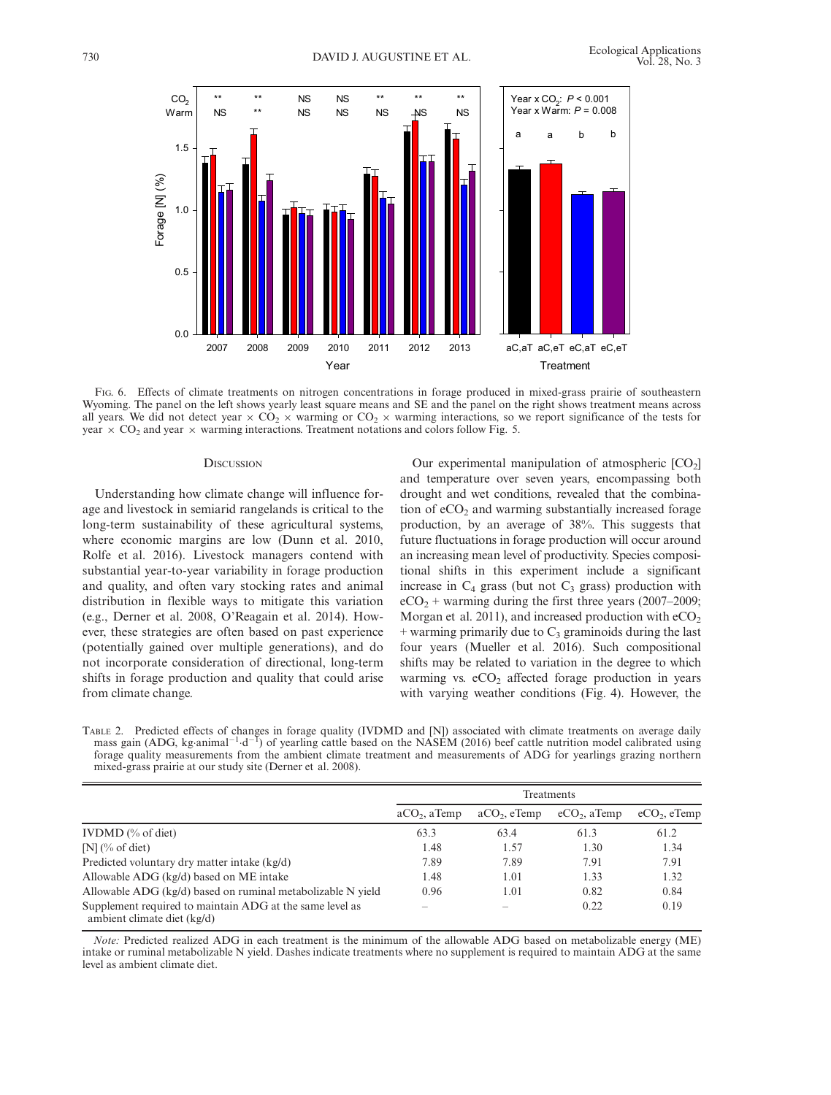

FIG. 6. Effects of climate treatments on nitrogen concentrations in forage produced in mixed-grass prairie of southeastern Wyoming. The panel on the left shows yearly least square means and SE and the panel on the right shows treatment means across all years. We did not detect year  $\times$  CO<sub>2</sub>  $\times$  warming or CO<sub>2</sub>  $\times$  warming interactions, so we report significance of the tests for year  $\times$  CO<sub>2</sub> and year  $\times$  warming interactions. Treatment notations and colors follow Fig. 5.

## **DISCUSSION**

Understanding how climate change will influence forage and livestock in semiarid rangelands is critical to the long-term sustainability of these agricultural systems, where economic margins are low (Dunn et al. 2010, Rolfe et al. 2016). Livestock managers contend with substantial year-to-year variability in forage production and quality, and often vary stocking rates and animal distribution in flexible ways to mitigate this variation (e.g., Derner et al. 2008, O'Reagain et al. 2014). However, these strategies are often based on past experience (potentially gained over multiple generations), and do not incorporate consideration of directional, long-term shifts in forage production and quality that could arise from climate change.

Our experimental manipulation of atmospheric  $[CO<sub>2</sub>]$ and temperature over seven years, encompassing both drought and wet conditions, revealed that the combination of  $eCO<sub>2</sub>$  and warming substantially increased forage production, by an average of 38%. This suggests that future fluctuations in forage production will occur around an increasing mean level of productivity. Species compositional shifts in this experiment include a significant increase in  $C_4$  grass (but not  $C_3$  grass) production with  $eCO<sub>2</sub>$  + warming during the first three years (2007–2009; Morgan et al. 2011), and increased production with  $eCO<sub>2</sub>$  $+$  warming primarily due to  $C_3$  graminoids during the last four years (Mueller et al. 2016). Such compositional shifts may be related to variation in the degree to which warming vs.  $eCO<sub>2</sub>$  affected forage production in years with varying weather conditions (Fig. 4). However, the

TABLE 2. Predicted effects of changes in forage quality (IVDMD and [N]) associated with climate treatments on average daily mass gain (ADG, kg animal<sup>-1</sup> d<sup>-T</sup>) of yearling cattle based on the NASEM (2016) beef cattle nutrition model calibrated using forage quality measurements from the ambient climate treatment and measurements of ADG for yearlings grazing northern mixed-grass prairie at our study site (Derner et al. 2008).

|                                                                                         | Treatments     |                |                |                |
|-----------------------------------------------------------------------------------------|----------------|----------------|----------------|----------------|
|                                                                                         | $aCO2$ , aTemp | $aCO2$ , eTemp | $eCO2$ , aTemp | $eCO2$ , eTemp |
| IVDMD $(\%$ of diet)                                                                    | 63.3           | 63.4           | 61.3           | 61.2           |
| $[N]$ (% of diet)                                                                       | 1.48           | 1.57           | 1.30           | 1.34           |
| Predicted voluntary dry matter intake (kg/d)                                            | 7.89           | 7.89           | 7.91           | 7.91           |
| Allowable ADG (kg/d) based on ME intake                                                 | 1.48           | 1.01           | 1.33           | 1.32           |
| Allowable ADG (kg/d) based on ruminal metabolizable N yield                             | 0.96           | 1.01           | 0.82           | 0.84           |
| Supplement required to maintain ADG at the same level as<br>ambient climate diet (kg/d) |                |                | 0.22           | 0.19           |

Note: Predicted realized ADG in each treatment is the minimum of the allowable ADG based on metabolizable energy (ME) intake or ruminal metabolizable N yield. Dashes indicate treatments where no supplement is required to maintain ADG at the same level as ambient climate diet.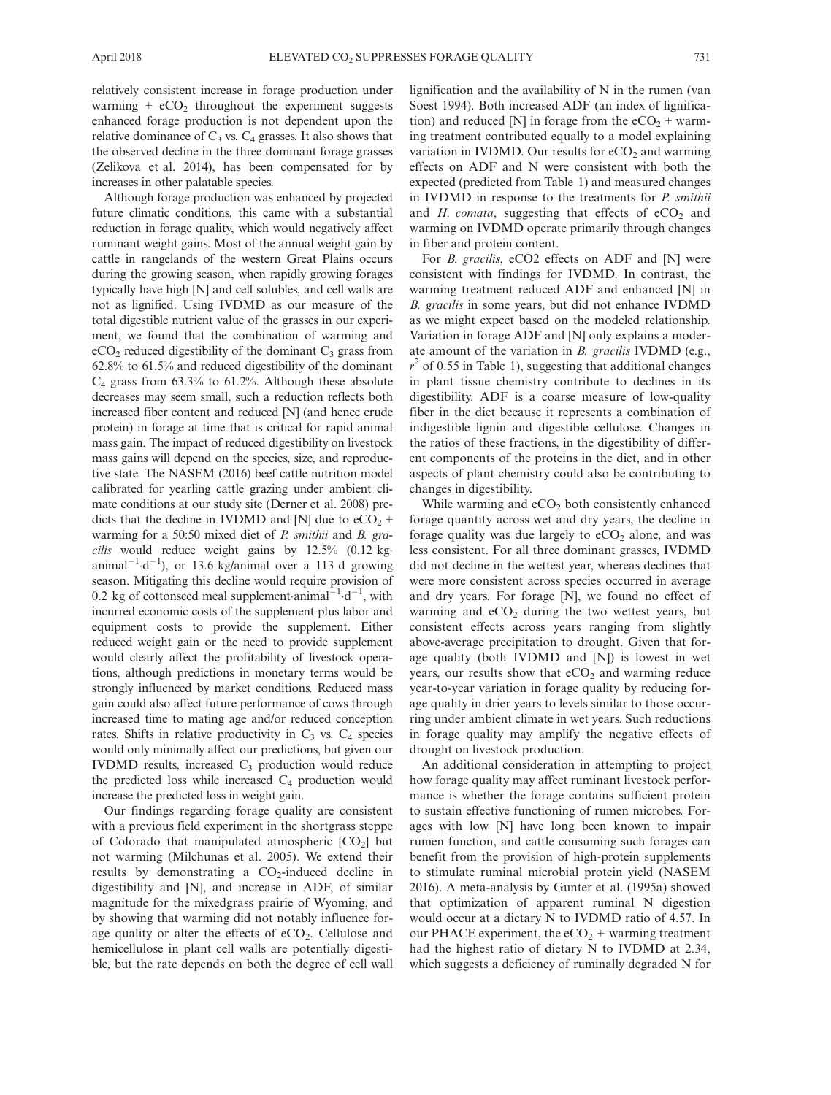relatively consistent increase in forage production under warming +  $eCO<sub>2</sub>$  throughout the experiment suggests enhanced forage production is not dependent upon the relative dominance of  $C_3$  vs.  $C_4$  grasses. It also shows that the observed decline in the three dominant forage grasses (Zelikova et al. 2014), has been compensated for by increases in other palatable species.

Although forage production was enhanced by projected future climatic conditions, this came with a substantial reduction in forage quality, which would negatively affect ruminant weight gains. Most of the annual weight gain by cattle in rangelands of the western Great Plains occurs during the growing season, when rapidly growing forages typically have high [N] and cell solubles, and cell walls are not as lignified. Using IVDMD as our measure of the total digestible nutrient value of the grasses in our experiment, we found that the combination of warming and  $eCO<sub>2</sub>$  reduced digestibility of the dominant  $C<sub>3</sub>$  grass from 62.8% to 61.5% and reduced digestibility of the dominant  $C_4$  grass from 63.3% to 61.2%. Although these absolute decreases may seem small, such a reduction reflects both increased fiber content and reduced [N] (and hence crude protein) in forage at time that is critical for rapid animal mass gain. The impact of reduced digestibility on livestock mass gains will depend on the species, size, and reproductive state. The NASEM (2016) beef cattle nutrition model calibrated for yearling cattle grazing under ambient climate conditions at our study site (Derner et al. 2008) predicts that the decline in IVDMD and [N] due to  $eCO<sub>2</sub>$  + warming for a 50:50 mixed diet of *P. smithii* and *B. gracilis* would reduce weight gains by  $12.5\%$  (0.12 kganimal<sup>-1</sup> d<sup>-1</sup>), or 13.6 kg/animal over a 113 d growing season. Mitigating this decline would require provision of 0.2 kg of cottonseed meal supplement animal<sup>-1</sup>  $d^{-1}$ , with incurred economic costs of the supplement plus labor and equipment costs to provide the supplement. Either reduced weight gain or the need to provide supplement would clearly affect the profitability of livestock operations, although predictions in monetary terms would be strongly influenced by market conditions. Reduced mass gain could also affect future performance of cows through increased time to mating age and/or reduced conception rates. Shifts in relative productivity in  $C_3$  vs.  $C_4$  species would only minimally affect our predictions, but given our IVDMD results, increased  $C_3$  production would reduce the predicted loss while increased  $C_4$  production would increase the predicted loss in weight gain.

Our findings regarding forage quality are consistent with a previous field experiment in the shortgrass steppe of Colorado that manipulated atmospheric  $[CO<sub>2</sub>]$  but not warming (Milchunas et al. 2005). We extend their results by demonstrating a  $CO<sub>2</sub>$ -induced decline in digestibility and [N], and increase in ADF, of similar magnitude for the mixedgrass prairie of Wyoming, and by showing that warming did not notably influence forage quality or alter the effects of  $eCO<sub>2</sub>$ . Cellulose and hemicellulose in plant cell walls are potentially digestible, but the rate depends on both the degree of cell wall

lignification and the availability of N in the rumen (van Soest 1994). Both increased ADF (an index of lignification) and reduced [N] in forage from the  $eCO<sub>2</sub> + warm$ ing treatment contributed equally to a model explaining variation in IVDMD. Our results for  $eCO<sub>2</sub>$  and warming effects on ADF and N were consistent with both the expected (predicted from Table 1) and measured changes in IVDMD in response to the treatments for *P. smithii* and  $H$ . comata, suggesting that effects of  $eCO<sub>2</sub>$  and warming on IVDMD operate primarily through changes in fiber and protein content.

For *B. gracilis*, eCO2 effects on ADF and [N] were consistent with findings for IVDMD. In contrast, the warming treatment reduced ADF and enhanced [N] in B. gracilis in some years, but did not enhance IVDMD as we might expect based on the modeled relationship. Variation in forage ADF and [N] only explains a moderate amount of the variation in B. gracilis IVDMD (e.g.,  $r<sup>2</sup>$  of 0.55 in Table 1), suggesting that additional changes in plant tissue chemistry contribute to declines in its digestibility. ADF is a coarse measure of low-quality fiber in the diet because it represents a combination of indigestible lignin and digestible cellulose. Changes in the ratios of these fractions, in the digestibility of different components of the proteins in the diet, and in other aspects of plant chemistry could also be contributing to changes in digestibility.

While warming and eCO<sub>2</sub> both consistently enhanced forage quantity across wet and dry years, the decline in forage quality was due largely to  $eCO<sub>2</sub>$  alone, and was less consistent. For all three dominant grasses, IVDMD did not decline in the wettest year, whereas declines that were more consistent across species occurred in average and dry years. For forage [N], we found no effect of warming and  $eCO<sub>2</sub>$  during the two wettest years, but consistent effects across years ranging from slightly above-average precipitation to drought. Given that forage quality (both IVDMD and [N]) is lowest in wet years, our results show that  $eCO<sub>2</sub>$  and warming reduce year-to-year variation in forage quality by reducing forage quality in drier years to levels similar to those occurring under ambient climate in wet years. Such reductions in forage quality may amplify the negative effects of drought on livestock production.

An additional consideration in attempting to project how forage quality may affect ruminant livestock performance is whether the forage contains sufficient protein to sustain effective functioning of rumen microbes. Forages with low [N] have long been known to impair rumen function, and cattle consuming such forages can benefit from the provision of high-protein supplements to stimulate ruminal microbial protein yield (NASEM 2016). A meta-analysis by Gunter et al. (1995a) showed that optimization of apparent ruminal N digestion would occur at a dietary N to IVDMD ratio of 4.57. In our PHACE experiment, the  $eCO<sub>2</sub>$  + warming treatment had the highest ratio of dietary N to IVDMD at 2.34, which suggests a deficiency of ruminally degraded N for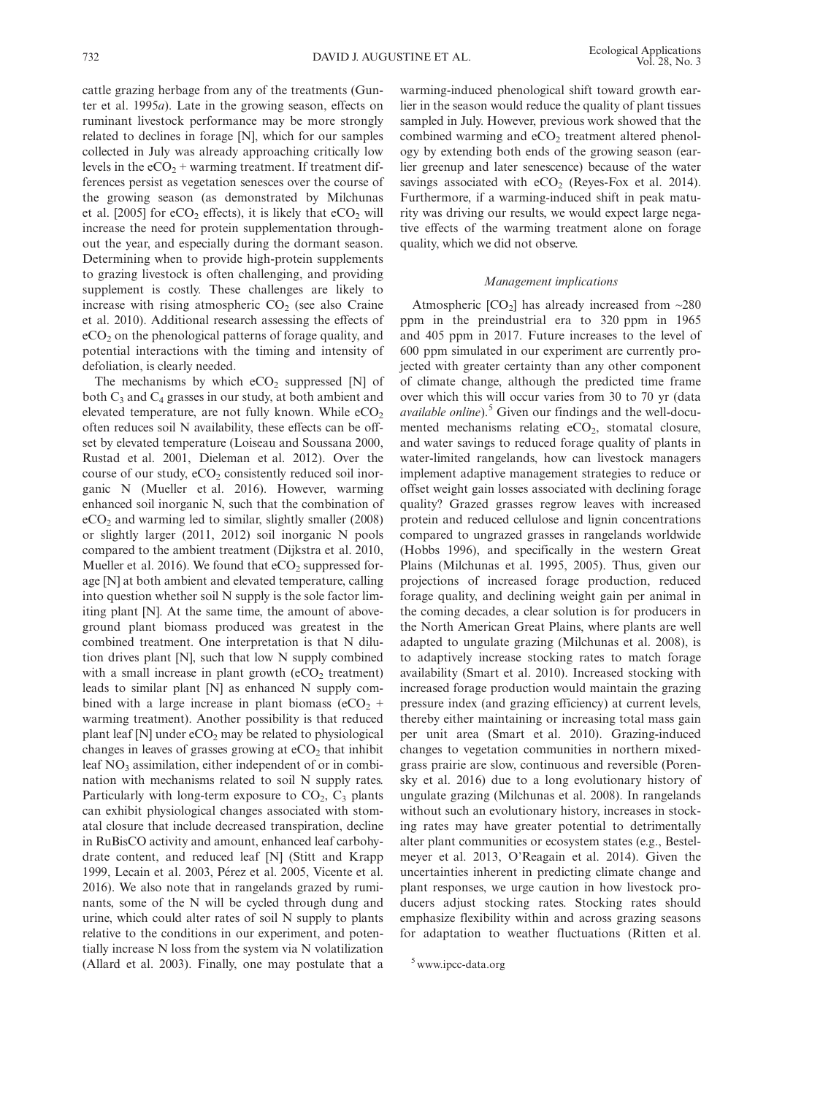cattle grazing herbage from any of the treatments (Gunter et al. 1995a). Late in the growing season, effects on ruminant livestock performance may be more strongly related to declines in forage [N], which for our samples collected in July was already approaching critically low levels in the  $eCO<sub>2</sub>$  + warming treatment. If treatment differences persist as vegetation senesces over the course of the growing season (as demonstrated by Milchunas et al. [2005] for  $eCO<sub>2</sub>$  effects), it is likely that  $eCO<sub>2</sub>$  will increase the need for protein supplementation throughout the year, and especially during the dormant season. Determining when to provide high-protein supplements to grazing livestock is often challenging, and providing supplement is costly. These challenges are likely to increase with rising atmospheric  $CO<sub>2</sub>$  (see also Craine et al. 2010). Additional research assessing the effects of  $eCO<sub>2</sub>$  on the phenological patterns of forage quality, and potential interactions with the timing and intensity of defoliation, is clearly needed.

The mechanisms by which  $eCO<sub>2</sub>$  suppressed [N] of both  $C_3$  and  $C_4$  grasses in our study, at both ambient and elevated temperature, are not fully known. While  $eCO<sub>2</sub>$ often reduces soil N availability, these effects can be offset by elevated temperature (Loiseau and Soussana 2000, Rustad et al. 2001, Dieleman et al. 2012). Over the course of our study,  $eCO<sub>2</sub>$  consistently reduced soil inorganic N (Mueller et al. 2016). However, warming enhanced soil inorganic N, such that the combination of eCO2 and warming led to similar, slightly smaller (2008) or slightly larger (2011, 2012) soil inorganic N pools compared to the ambient treatment (Dijkstra et al. 2010, Mueller et al. 2016). We found that  $eCO<sub>2</sub>$  suppressed forage [N] at both ambient and elevated temperature, calling into question whether soil N supply is the sole factor limiting plant [N]. At the same time, the amount of aboveground plant biomass produced was greatest in the combined treatment. One interpretation is that N dilution drives plant [N], such that low N supply combined with a small increase in plant growth  $(eCO<sub>2</sub> treatment)$ leads to similar plant [N] as enhanced N supply combined with a large increase in plant biomass ( $eCO<sub>2</sub>$  + warming treatment). Another possibility is that reduced plant leaf  $[N]$  under  $eCO<sub>2</sub>$  may be related to physiological changes in leaves of grasses growing at  $eCO<sub>2</sub>$  that inhibit leaf  $NO<sub>3</sub>$  assimilation, either independent of or in combination with mechanisms related to soil N supply rates. Particularly with long-term exposure to  $CO<sub>2</sub>$ ,  $C<sub>3</sub>$  plants can exhibit physiological changes associated with stomatal closure that include decreased transpiration, decline in RuBisCO activity and amount, enhanced leaf carbohydrate content, and reduced leaf [N] (Stitt and Krapp 1999, Lecain et al. 2003, Pérez et al. 2005, Vicente et al. 2016). We also note that in rangelands grazed by ruminants, some of the N will be cycled through dung and urine, which could alter rates of soil N supply to plants relative to the conditions in our experiment, and potentially increase N loss from the system via N volatilization (Allard et al. 2003). Finally, one may postulate that a

warming-induced phenological shift toward growth earlier in the season would reduce the quality of plant tissues sampled in July. However, previous work showed that the combined warming and  $eCO<sub>2</sub>$  treatment altered phenology by extending both ends of the growing season (earlier greenup and later senescence) because of the water savings associated with  $eCO<sub>2</sub>$  (Reyes-Fox et al. 2014). Furthermore, if a warming-induced shift in peak maturity was driving our results, we would expect large negative effects of the warming treatment alone on forage quality, which we did not observe.

## Management implications

Atmospheric  $[CO_2]$  has already increased from  $\sim$ 280 ppm in the preindustrial era to 320 ppm in 1965 and 405 ppm in 2017. Future increases to the level of 600 ppm simulated in our experiment are currently projected with greater certainty than any other component of climate change, although the predicted time frame over which this will occur varies from 30 to 70 yr (data *available online*).<sup>5</sup> Given our findings and the well-documented mechanisms relating  $eCO<sub>2</sub>$ , stomatal closure, and water savings to reduced forage quality of plants in water-limited rangelands, how can livestock managers implement adaptive management strategies to reduce or offset weight gain losses associated with declining forage quality? Grazed grasses regrow leaves with increased protein and reduced cellulose and lignin concentrations compared to ungrazed grasses in rangelands worldwide (Hobbs 1996), and specifically in the western Great Plains (Milchunas et al. 1995, 2005). Thus, given our projections of increased forage production, reduced forage quality, and declining weight gain per animal in the coming decades, a clear solution is for producers in the North American Great Plains, where plants are well adapted to ungulate grazing (Milchunas et al. 2008), is to adaptively increase stocking rates to match forage availability (Smart et al. 2010). Increased stocking with increased forage production would maintain the grazing pressure index (and grazing efficiency) at current levels, thereby either maintaining or increasing total mass gain per unit area (Smart et al. 2010). Grazing-induced changes to vegetation communities in northern mixedgrass prairie are slow, continuous and reversible (Porensky et al. 2016) due to a long evolutionary history of ungulate grazing (Milchunas et al. 2008). In rangelands without such an evolutionary history, increases in stocking rates may have greater potential to detrimentally alter plant communities or ecosystem states (e.g., Bestelmeyer et al. 2013, O'Reagain et al. 2014). Given the uncertainties inherent in predicting climate change and plant responses, we urge caution in how livestock producers adjust stocking rates. Stocking rates should emphasize flexibility within and across grazing seasons for adaptation to weather fluctuations (Ritten et al.

<sup>5</sup> [www.ipcc-data.org](http://www.ipcc-data.org)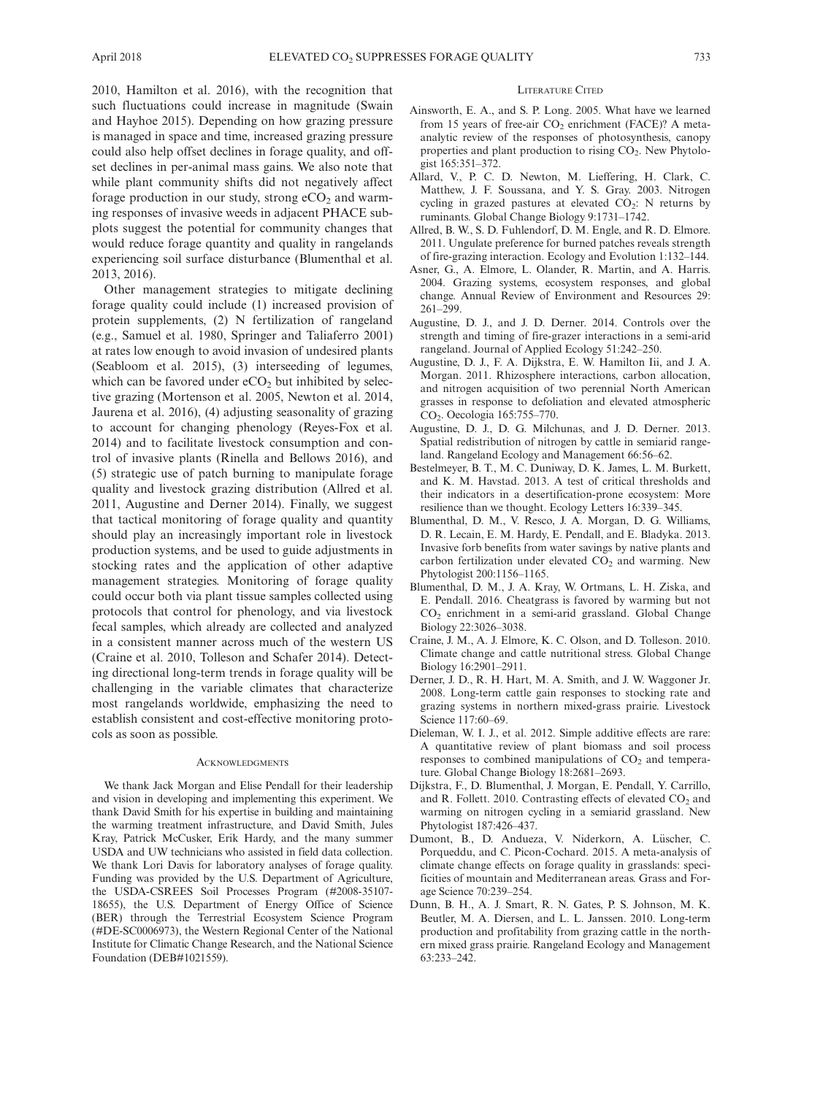2010, Hamilton et al. 2016), with the recognition that such fluctuations could increase in magnitude (Swain and Hayhoe 2015). Depending on how grazing pressure is managed in space and time, increased grazing pressure could also help offset declines in forage quality, and offset declines in per-animal mass gains. We also note that while plant community shifts did not negatively affect forage production in our study, strong  $eCO<sub>2</sub>$  and warming responses of invasive weeds in adjacent PHACE subplots suggest the potential for community changes that would reduce forage quantity and quality in rangelands experiencing soil surface disturbance (Blumenthal et al. 2013, 2016).

Other management strategies to mitigate declining forage quality could include (1) increased provision of protein supplements, (2) N fertilization of rangeland (e.g., Samuel et al. 1980, Springer and Taliaferro 2001) at rates low enough to avoid invasion of undesired plants (Seabloom et al. 2015), (3) interseeding of legumes, which can be favored under  $eCO<sub>2</sub>$  but inhibited by selective grazing (Mortenson et al. 2005, Newton et al. 2014, Jaurena et al. 2016), (4) adjusting seasonality of grazing to account for changing phenology (Reyes-Fox et al. 2014) and to facilitate livestock consumption and control of invasive plants (Rinella and Bellows 2016), and (5) strategic use of patch burning to manipulate forage quality and livestock grazing distribution (Allred et al. 2011, Augustine and Derner 2014). Finally, we suggest that tactical monitoring of forage quality and quantity should play an increasingly important role in livestock production systems, and be used to guide adjustments in stocking rates and the application of other adaptive management strategies. Monitoring of forage quality could occur both via plant tissue samples collected using protocols that control for phenology, and via livestock fecal samples, which already are collected and analyzed in a consistent manner across much of the western US (Craine et al. 2010, Tolleson and Schafer 2014). Detecting directional long-term trends in forage quality will be challenging in the variable climates that characterize most rangelands worldwide, emphasizing the need to establish consistent and cost-effective monitoring protocols as soon as possible.

#### **ACKNOWLEDGMENTS**

We thank Jack Morgan and Elise Pendall for their leadership and vision in developing and implementing this experiment. We thank David Smith for his expertise in building and maintaining the warming treatment infrastructure, and David Smith, Jules Kray, Patrick McCusker, Erik Hardy, and the many summer USDA and UW technicians who assisted in field data collection. We thank Lori Davis for laboratory analyses of forage quality. Funding was provided by the U.S. Department of Agriculture, the USDA-CSREES Soil Processes Program (#2008-35107- 18655), the U.S. Department of Energy Office of Science (BER) through the Terrestrial Ecosystem Science Program (#DE-SC0006973), the Western Regional Center of the National Institute for Climatic Change Research, and the National Science Foundation (DEB#1021559).

#### LITERATURE CITED

- Ainsworth, E. A., and S. P. Long. 2005. What have we learned from 15 years of free-air  $CO<sub>2</sub>$  enrichment (FACE)? A metaanalytic review of the responses of photosynthesis, canopy properties and plant production to rising  $CO<sub>2</sub>$ . New Phytologist 165:351–372.
- Allard, V., P. C. D. Newton, M. Lieffering, H. Clark, C. Matthew, J. F. Soussana, and Y. S. Gray. 2003. Nitrogen cycling in grazed pastures at elevated  $CO<sub>2</sub>$ : N returns by ruminants. Global Change Biology 9:1731–1742.
- Allred, B. W., S. D. Fuhlendorf, D. M. Engle, and R. D. Elmore. 2011. Ungulate preference for burned patches reveals strength of fire-grazing interaction. Ecology and Evolution 1:132–144.
- Asner, G., A. Elmore, L. Olander, R. Martin, and A. Harris. 2004. Grazing systems, ecosystem responses, and global change. Annual Review of Environment and Resources 29: 261–299.
- Augustine, D. J., and J. D. Derner. 2014. Controls over the strength and timing of fire-grazer interactions in a semi-arid rangeland. Journal of Applied Ecology 51:242–250.
- Augustine, D. J., F. A. Dijkstra, E. W. Hamilton Iii, and J. A. Morgan. 2011. Rhizosphere interactions, carbon allocation, and nitrogen acquisition of two perennial North American grasses in response to defoliation and elevated atmospheric CO2. Oecologia 165:755–770.
- Augustine, D. J., D. G. Milchunas, and J. D. Derner. 2013. Spatial redistribution of nitrogen by cattle in semiarid rangeland. Rangeland Ecology and Management 66:56–62.
- Bestelmeyer, B. T., M. C. Duniway, D. K. James, L. M. Burkett, and K. M. Havstad. 2013. A test of critical thresholds and their indicators in a desertification-prone ecosystem: More resilience than we thought. Ecology Letters 16:339–345.
- Blumenthal, D. M., V. Resco, J. A. Morgan, D. G. Williams, D. R. Lecain, E. M. Hardy, E. Pendall, and E. Bladyka. 2013. Invasive forb benefits from water savings by native plants and carbon fertilization under elevated  $CO<sub>2</sub>$  and warming. New Phytologist 200:1156–1165.
- Blumenthal, D. M., J. A. Kray, W. Ortmans, L. H. Ziska, and E. Pendall. 2016. Cheatgrass is favored by warming but not CO2 enrichment in a semi-arid grassland. Global Change Biology 22:3026–3038.
- Craine, J. M., A. J. Elmore, K. C. Olson, and D. Tolleson. 2010. Climate change and cattle nutritional stress. Global Change Biology 16:2901–2911.
- Derner, J. D., R. H. Hart, M. A. Smith, and J. W. Waggoner Jr. 2008. Long-term cattle gain responses to stocking rate and grazing systems in northern mixed-grass prairie. Livestock Science 117:60–69.
- Dieleman, W. I. J., et al. 2012. Simple additive effects are rare: A quantitative review of plant biomass and soil process responses to combined manipulations of  $CO<sub>2</sub>$  and temperature. Global Change Biology 18:2681–2693.
- Dijkstra, F., D. Blumenthal, J. Morgan, E. Pendall, Y. Carrillo, and R. Follett. 2010. Contrasting effects of elevated  $CO<sub>2</sub>$  and warming on nitrogen cycling in a semiarid grassland. New Phytologist 187:426–437.
- Dumont, B., D. Andueza, V. Niderkorn, A. Lüscher, C. Porqueddu, and C. Picon-Cochard. 2015. A meta-analysis of climate change effects on forage quality in grasslands: specificities of mountain and Mediterranean areas. Grass and Forage Science 70:239–254.
- Dunn, B. H., A. J. Smart, R. N. Gates, P. S. Johnson, M. K. Beutler, M. A. Diersen, and L. L. Janssen. 2010. Long-term production and profitability from grazing cattle in the northern mixed grass prairie. Rangeland Ecology and Management 63:233–242.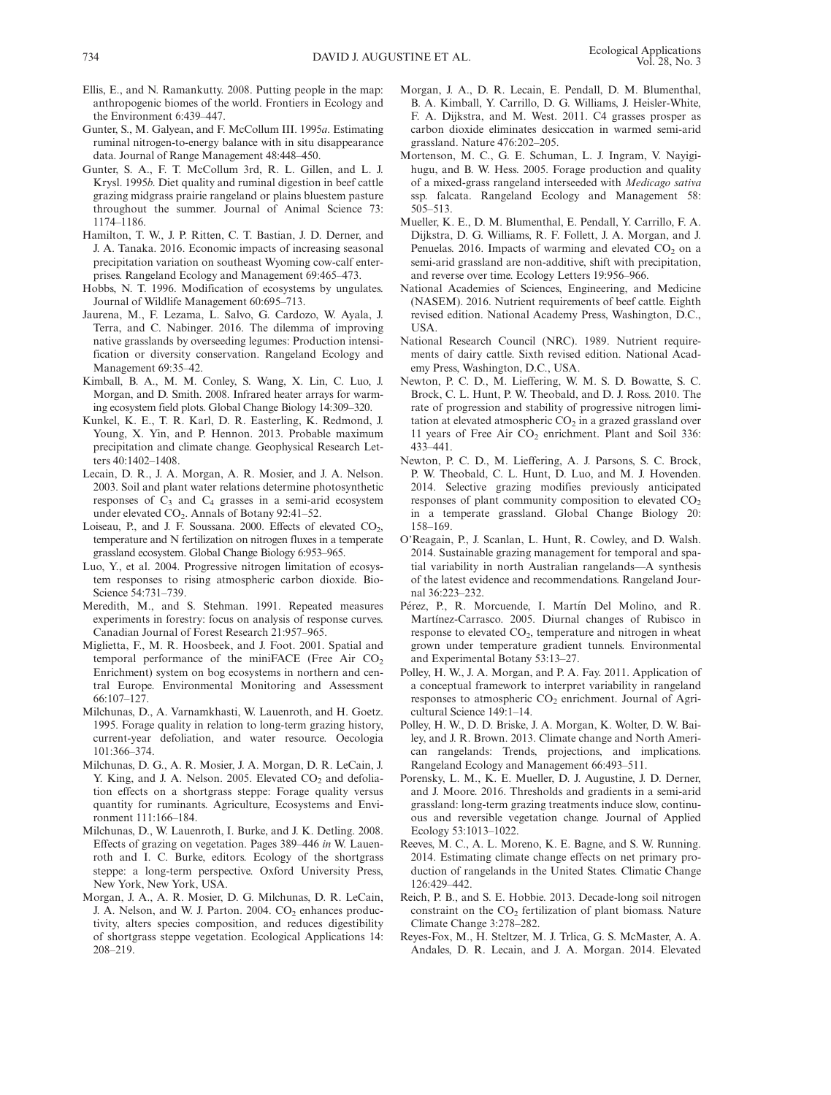- Ellis, E., and N. Ramankutty. 2008. Putting people in the map: anthropogenic biomes of the world. Frontiers in Ecology and the Environment 6:439–447.
- Gunter, S., M. Galyean, and F. McCollum III. 1995a. Estimating ruminal nitrogen-to-energy balance with in situ disappearance data. Journal of Range Management 48:448–450.
- Gunter, S. A., F. T. McCollum 3rd, R. L. Gillen, and L. J. Krysl. 1995b. Diet quality and ruminal digestion in beef cattle grazing midgrass prairie rangeland or plains bluestem pasture throughout the summer. Journal of Animal Science 73: 1174–1186.
- Hamilton, T. W., J. P. Ritten, C. T. Bastian, J. D. Derner, and J. A. Tanaka. 2016. Economic impacts of increasing seasonal precipitation variation on southeast Wyoming cow-calf enterprises. Rangeland Ecology and Management 69:465–473.
- Hobbs, N. T. 1996. Modification of ecosystems by ungulates. Journal of Wildlife Management 60:695–713.
- Jaurena, M., F. Lezama, L. Salvo, G. Cardozo, W. Ayala, J. Terra, and C. Nabinger. 2016. The dilemma of improving native grasslands by overseeding legumes: Production intensification or diversity conservation. Rangeland Ecology and Management 69:35–42.
- Kimball, B. A., M. M. Conley, S. Wang, X. Lin, C. Luo, J. Morgan, and D. Smith. 2008. Infrared heater arrays for warming ecosystem field plots. Global Change Biology 14:309–320.
- Kunkel, K. E., T. R. Karl, D. R. Easterling, K. Redmond, J. Young, X. Yin, and P. Hennon. 2013. Probable maximum precipitation and climate change. Geophysical Research Letters 40:1402–1408.
- Lecain, D. R., J. A. Morgan, A. R. Mosier, and J. A. Nelson. 2003. Soil and plant water relations determine photosynthetic responses of  $C_3$  and  $C_4$  grasses in a semi-arid ecosystem under elevated  $CO<sub>2</sub>$ . Annals of Botany 92:41–52.
- Loiseau, P., and J. F. Soussana. 2000. Effects of elevated CO<sub>2</sub>, temperature and N fertilization on nitrogen fluxes in a temperate grassland ecosystem. Global Change Biology 6:953–965.
- Luo, Y., et al. 2004. Progressive nitrogen limitation of ecosystem responses to rising atmospheric carbon dioxide. Bio-Science 54:731–739.
- Meredith, M., and S. Stehman. 1991. Repeated measures experiments in forestry: focus on analysis of response curves. Canadian Journal of Forest Research 21:957–965.
- Miglietta, F., M. R. Hoosbeek, and J. Foot. 2001. Spatial and temporal performance of the miniFACE (Free Air  $CO<sub>2</sub>$ Enrichment) system on bog ecosystems in northern and central Europe. Environmental Monitoring and Assessment 66:107–127.
- Milchunas, D., A. Varnamkhasti, W. Lauenroth, and H. Goetz. 1995. Forage quality in relation to long-term grazing history, current-year defoliation, and water resource. Oecologia 101:366–374.
- Milchunas, D. G., A. R. Mosier, J. A. Morgan, D. R. LeCain, J. Y. King, and J. A. Nelson. 2005. Elevated  $CO<sub>2</sub>$  and defoliation effects on a shortgrass steppe: Forage quality versus quantity for ruminants. Agriculture, Ecosystems and Environment 111:166–184.
- Milchunas, D., W. Lauenroth, I. Burke, and J. K. Detling. 2008. Effects of grazing on vegetation. Pages 389–446 in W. Lauenroth and I. C. Burke, editors. Ecology of the shortgrass steppe: a long-term perspective. Oxford University Press, New York, New York, USA.
- Morgan, J. A., A. R. Mosier, D. G. Milchunas, D. R. LeCain, J. A. Nelson, and W. J. Parton. 2004.  $CO<sub>2</sub>$  enhances productivity, alters species composition, and reduces digestibility of shortgrass steppe vegetation. Ecological Applications 14: 208–219.
- Morgan, J. A., D. R. Lecain, E. Pendall, D. M. Blumenthal, B. A. Kimball, Y. Carrillo, D. G. Williams, J. Heisler-White, F. A. Dijkstra, and M. West. 2011. C4 grasses prosper as carbon dioxide eliminates desiccation in warmed semi-arid grassland. Nature 476:202–205.
- Mortenson, M. C., G. E. Schuman, L. J. Ingram, V. Nayigihugu, and B. W. Hess. 2005. Forage production and quality of a mixed-grass rangeland interseeded with Medicago sativa ssp. falcata. Rangeland Ecology and Management 58: 505–513.
- Mueller, K. E., D. M. Blumenthal, E. Pendall, Y. Carrillo, F. A. Dijkstra, D. G. Williams, R. F. Follett, J. A. Morgan, and J. Penuelas. 2016. Impacts of warming and elevated  $CO<sub>2</sub>$  on a semi-arid grassland are non-additive, shift with precipitation, and reverse over time. Ecology Letters 19:956–966.
- National Academies of Sciences, Engineering, and Medicine (NASEM). 2016. Nutrient requirements of beef cattle. Eighth revised edition. National Academy Press, Washington, D.C., USA.
- National Research Council (NRC). 1989. Nutrient requirements of dairy cattle. Sixth revised edition. National Academy Press, Washington, D.C., USA.
- Newton, P. C. D., M. Lieffering, W. M. S. D. Bowatte, S. C. Brock, C. L. Hunt, P. W. Theobald, and D. J. Ross. 2010. The rate of progression and stability of progressive nitrogen limitation at elevated atmospheric  $CO<sub>2</sub>$  in a grazed grassland over 11 years of Free Air  $CO<sub>2</sub>$  enrichment. Plant and Soil 336: 433–441.
- Newton, P. C. D., M. Lieffering, A. J. Parsons, S. C. Brock, P. W. Theobald, C. L. Hunt, D. Luo, and M. J. Hovenden. 2014. Selective grazing modifies previously anticipated responses of plant community composition to elevated  $CO<sub>2</sub>$ in a temperate grassland. Global Change Biology 20: 158–169.
- O'Reagain, P., J. Scanlan, L. Hunt, R. Cowley, and D. Walsh. 2014. Sustainable grazing management for temporal and spatial variability in north Australian rangelands—A synthesis of the latest evidence and recommendations. Rangeland Journal 36:223–232.
- Pérez, P., R. Morcuende, I. Martín Del Molino, and R. Martínez-Carrasco. 2005. Diurnal changes of Rubisco in response to elevated CO<sub>2</sub>, temperature and nitrogen in wheat grown under temperature gradient tunnels. Environmental and Experimental Botany 53:13–27.
- Polley, H. W., J. A. Morgan, and P. A. Fay. 2011. Application of a conceptual framework to interpret variability in rangeland responses to atmospheric CO<sub>2</sub> enrichment. Journal of Agricultural Science 149:1–14.
- Polley, H. W., D. D. Briske, J. A. Morgan, K. Wolter, D. W. Bailey, and J. R. Brown. 2013. Climate change and North American rangelands: Trends, projections, and implications. Rangeland Ecology and Management 66:493–511.
- Porensky, L. M., K. E. Mueller, D. J. Augustine, J. D. Derner, and J. Moore. 2016. Thresholds and gradients in a semi-arid grassland: long-term grazing treatments induce slow, continuous and reversible vegetation change. Journal of Applied Ecology 53:1013–1022.
- Reeves, M. C., A. L. Moreno, K. E. Bagne, and S. W. Running. 2014. Estimating climate change effects on net primary production of rangelands in the United States. Climatic Change 126:429–442.
- Reich, P. B., and S. E. Hobbie. 2013. Decade-long soil nitrogen constraint on the  $CO<sub>2</sub>$  fertilization of plant biomass. Nature Climate Change 3:278–282.
- Reyes-Fox, M., H. Steltzer, M. J. Trlica, G. S. McMaster, A. A. Andales, D. R. Lecain, and J. A. Morgan. 2014. Elevated